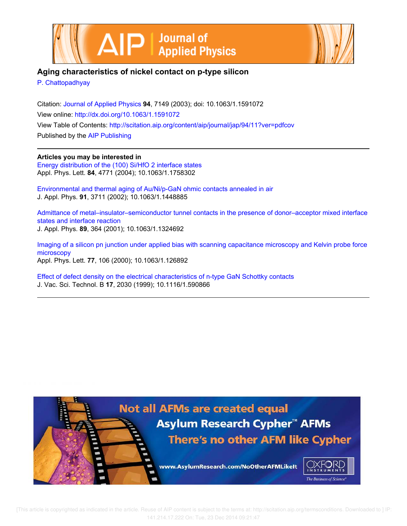



# **Aging characteristics of nickel contact on p-type silicon**

P. Chattopadhyay

Citation: Journal of Applied Physics **94**, 7149 (2003); doi: 10.1063/1.1591072 View online: http://dx.doi.org/10.1063/1.1591072 View Table of Contents: http://scitation.aip.org/content/aip/journal/jap/94/11?ver=pdfcov Published by the AIP Publishing

**Articles you may be interested in** Energy distribution of the (100) Si/HfO 2 interface states

Appl. Phys. Lett. **84**, 4771 (2004); 10.1063/1.1758302

Environmental and thermal aging of Au/Ni/p-GaN ohmic contacts annealed in air J. Appl. Phys. **91**, 3711 (2002); 10.1063/1.1448885

Admittance of metal–insulator–semiconductor tunnel contacts in the presence of donor–acceptor mixed interface states and interface reaction J. Appl. Phys. **89**, 364 (2001); 10.1063/1.1324692

Imaging of a silicon pn junction under applied bias with scanning capacitance microscopy and Kelvin probe force microscopy Appl. Phys. Lett. **77**, 106 (2000); 10.1063/1.126892

Effect of defect density on the electrical characteristics of n-type GaN Schottky contacts J. Vac. Sci. Technol. B **17**, 2030 (1999); 10.1116/1.590866

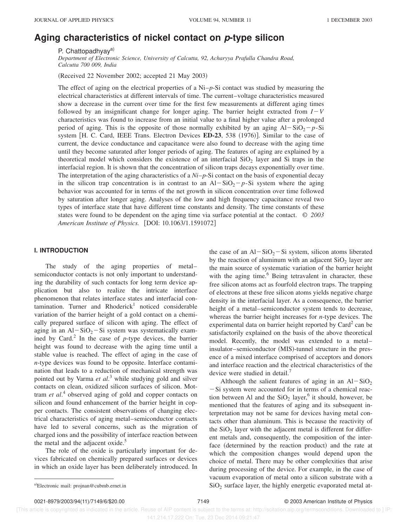# **Aging characteristics of nickel contact on p-type silicon**

P. Chattopadhyay<sup>a)</sup>

*Department of Electronic Science, University of Calcutta, 92, Acharyya Prafulla Chandra Road, Calcutta 700 009, India*

(Received 22 November 2002; accepted 21 May 2003)

The effect of aging on the electrical properties of a Ni–*p*-Si contact was studied by measuring the electrical characteristics at different intervals of time. The current–voltage characteristics measured show a decrease in the current over time for the first few measurements at different aging times followed by an insignificant change for longer aging. The barrier height extracted from  $I-V$ characteristics was found to increase from an initial value to a final higher value after a prolonged period of aging. This is the opposite of those normally exhibited by an aging  $Al-SiO<sub>2</sub>-p-Si$ system  $[H. C. Card, IEEE Trans. Electron Devices **ED-23**, 538 (1976)]. Similar to the case of$ current, the device conductance and capacitance were also found to decrease with the aging time until they become saturated after longer periods of aging. The features of aging are explained by a theoretical model which considers the existence of an interfacial  $SiO<sub>2</sub>$  layer and Si traps in the interfacial region. It is shown that the concentration of silicon traps decays exponentially over time. The interpretation of the aging characteristics of a *Ni*–*p*-Si contact on the basis of exponential decay in the silicon trap concentration is in contrast to an  $Al-SiO<sub>2</sub>-p-Si$  system where the aging behavior was accounted for in terms of the net growth in silicon concentration over time followed by saturation after longer aging. Analyses of the low and high frequency capacitance reveal two types of interface state that have different time constants and density. The time constants of these states were found to be dependent on the aging time via surface potential at the contact. © *2003 American Institute of Physics.* [DOI: 10.1063/1.1591072]

#### **I. INTRODUCTION**

The study of the aging properties of metal– semiconductor contacts is not only important to understanding the durability of such contacts for long term device application but also to realize the intricate interface phenomenon that relates interface states and interfacial contamination. Turner and Rhoderick<sup>1</sup> noticed considerable variation of the barrier height of a gold contact on a chemically prepared surface of silicon with aging. The effect of aging in an  $Al-SiO<sub>2</sub>-Si$  system was systematically examined by Card.<sup>2</sup> In the case of  $p$ -type devices, the barrier height was found to decrease with the aging time until a stable value is reached. The effect of aging in the case of *n*-type devices was found to be opposite. Interface contamination that leads to a reduction of mechanical strength was pointed out by Varma *et al*. <sup>3</sup> while studying gold and silver contacts on clean, oxidized silicon surfaces of silicon. Mottram *et al*. 4 observed aging of gold and copper contacts on silicon and found enhancement of the barrier height in copper contacts. The consistent observations of changing electrical characteristics of aging metal–semiconductor contacts have led to several concerns, such as the migration of charged ions and the possibility of interface reaction between the metal and the adjacent oxide. $5$ 

The role of the oxide is particularly important for devices fabricated on chemically prepared surfaces or devices in which an oxide layer has been deliberately introduced. In the case of an  $Al-SiO<sub>2</sub>-Si$  system, silicon atoms liberated by the reaction of aluminum with an adjacent  $SiO<sub>2</sub>$  layer are the main source of systematic variation of the barrier height with the aging time.<sup>6</sup> Being tetravalent in character, these free silicon atoms act as fourfold electron traps. The trapping of electrons at these free silicon atoms yields negative charge density in the interfacial layer. As a consequence, the barrier height of a metal–semiconductor system tends to decrease, whereas the barrier height increases for *n*-type devices. The experimental data on barrier height reported by Card<sup>2</sup> can be satisfactorily explained on the basis of the above theoretical model. Recently, the model was extended to a metal– insulator–semiconductor (MIS)-tunnel structure in the presence of a mixed interface comprised of acceptors and donors and interface reaction and the electrical characteristics of the device were studied in detail.<sup>7</sup>

Although the salient features of aging in an  $Al-SiO<sub>2</sub>$  $-Si$  system were accounted for in terms of a chemical reaction between Al and the  $SiO_2$  layer,<sup>6</sup> it should, however, be mentioned that the features of aging and its subsequent interpretation may not be same for devices having metal contacts other than aluminum. This is because the reactivity of the  $SiO<sub>2</sub>$  layer with the adjacent metal is different for different metals and, consequently, the composition of the interface (determined by the reaction product) and the rate at which the composition changes would depend upon the choice of metal. There may be other complexities that arise during processing of the device. For example, in the case of vacuum evaporation of metal onto a silicon substrate with a a)Electronic mail: projnan@cubmb.ernet.in  $SiO_2$  surface layer, the highly energetic evaporated metal at-

0021-8979/2003/94(11)/7149/6/\$20.00 7149 © 2003 American Institute of Physics

 [This article is copyrighted as indicated in the article. Reuse of AIP content is subject to the terms at: http://scitation.aip.org/termsconditions. Downloaded to ] IP: 141.214.17.222 On: Tue, 23 Dec 2014 09:21:47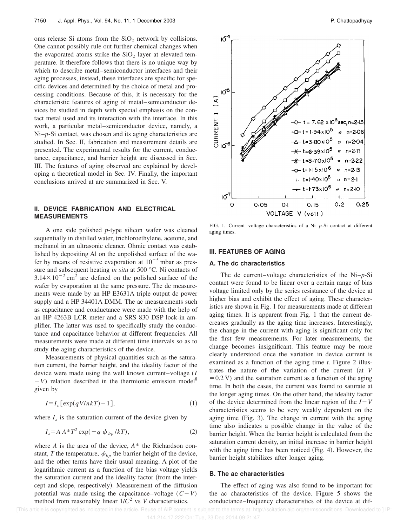oms release Si atoms from the  $SiO<sub>2</sub>$  network by collisions. One cannot possibly rule out further chemical changes when the evaporated atoms strike the  $SiO<sub>2</sub>$  layer at elevated temperature. It therefore follows that there is no unique way by which to describe metal–semiconductor interfaces and their aging processes, instead, these interfaces are specific for specific devices and determined by the choice of metal and processing conditions. Because of this, it is necessary for the characteristic features of aging of metal–semiconductor devices be studied in depth with special emphasis on the contact metal used and its interaction with the interface. In this work, a particular metal–semiconductor device, namely, a Ni–*p*-Si contact, was chosen and its aging characteristics are studied. In Sec. II, fabrication and measurement details are presented. The experimental results for the current, conductance, capacitance, and barrier height are discussed in Sec. III. The features of aging observed are explained by developing a theoretical model in Sec. IV. Finally, the important conclusions arrived at are summarized in Sec. V.

## **II. DEVICE FABRICATION AND ELECTRICAL MEASUREMENTS**

A one side polished *p*-type silicon wafer was cleaned sequentially in distilled water, trichloroethylene, acetone, and methanol in an ultrasonic cleaner. Ohmic contact was established by depositing Al on the unpolished surface of the wafer by means of resistive evaporation at  $10^{-5}$  mbar as pressure and subsequent heating *in situ* at 500 °C. Ni contacts of  $3.14 \times 10^{-2}$  cm<sup>2</sup> are defined on the polished surface of the wafer by evaporation at the same pressure. The dc measurements were made by an HP E3631A triple output dc power supply and a HP 34401A DMM. The ac measurements such as capacitance and conductance were made with the help of an HP 4263B LCR meter and a SRS 830 DSP lock-in amplifier. The latter was used to specifically study the conductance and capacitance behavior at different frequencies. All measurements were made at different time intervals so as to study the aging characteristics of the device.

Measurements of physical quantities such as the saturation current, the barrier height, and the ideality factor of the device were made using the well known current–voltage (*I*  $-V$ ) relation described in the thermionic emission model<sup>8</sup> given by

$$
I = I_s \left[ \exp(qV/nkT) - 1 \right],\tag{1}
$$

where  $I_s$  is the saturation current of the device given by

$$
I_s = A A^* T^2 \exp(-q \phi_{bp}/kT), \qquad (2)
$$

where *A* is the area of the device, *A*\* the Richardson constant, *T* the temperature,  $\phi_{bp}$  the barrier height of the device, and the other terms have their usual meaning. A plot of the logarithmic current as a function of the bias voltage yields the saturation current and the ideality factor (from the intercept and slope, respectively). Measurement of the diffusion potential was made using the capacitance–voltage  $(C-V)$ method from reasonably linear  $1/C^2$  vs *V* characteristics.



FIG. 1. Current–voltage characteristics of a Ni–*p*-Si contact at different aging times.

## **III. FEATURES OF AGING**

## **A. The dc characteristics**

The dc current–voltage characteristics of the Ni–*p*-Si contact were found to be linear over a certain range of bias voltage limited only by the series resistance of the device at higher bias and exhibit the effect of aging. These characteristics are shown in Fig. 1 for measurements made at different aging times. It is apparent from Fig. 1 that the current decreases gradually as the aging time increases. Interestingly, the change in the current with aging is significant only for the first few measurements. For later measurements, the change becomes insignificant. This feature may be more clearly understood once the variation in device current is examined as a function of the aging time *t*. Figure 2 illustrates the nature of the variation of the current (at *V*  $=0.2$  V) and the saturation current as a function of the aging time. In both the cases, the current was found to saturate at the longer aging times. On the other hand, the ideality factor of the device determined from the linear region of the  $I-V$ characteristics seems to be very weakly dependent on the aging time  $(Fig. 3)$ . The change in current with the aging time also indicates a possible change in the value of the barrier height. When the barrier height is calculated from the saturation current density, an initial increase in barrier height with the aging time has been noticed  $(Fig. 4)$ . However, the barrier height stabilizes after longer aging.

#### **B. The ac characteristics**

The effect of aging was also found to be important for the ac characteristics of the device. Figure 5 shows the conductance–frequency characteristics of the device at dif-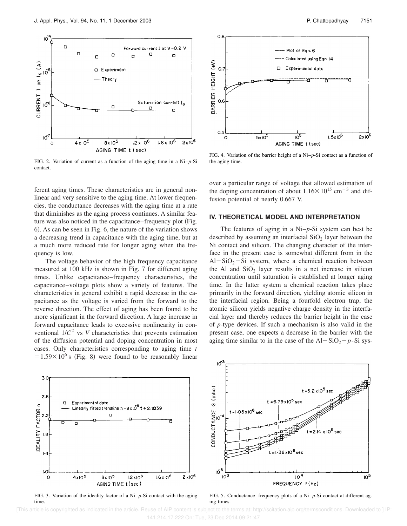

FIG. 2. Variation of current as a function of the aging time in a Ni–*p*-Si contact.

ferent aging times. These characteristics are in general nonlinear and very sensitive to the aging time. At lower frequencies, the conductance decreases with the aging time at a rate that diminishes as the aging process continues. A similar feature was also noticed in the capacitance–frequency plot (Fig. 6). As can be seen in Fig. 6, the nature of the variation shows a decreasing trend in capacitance with the aging time, but at a much more reduced rate for longer aging when the frequency is low.

The voltage behavior of the high frequency capacitance measured at 100 kHz is shown in Fig. 7 for different aging times. Unlike capacitance–frequency characteristics, the capacitance–voltage plots show a variety of features. The characteristics in general exhibit a rapid decrease in the capacitance as the voltage is varied from the forward to the reverse direction. The effect of aging has been found to be more significant in the forward direction. A large increase in forward capacitance leads to excessive nonlinearity in conventional  $1/C^2$  vs *V* characteristics that prevents estimation of the diffusion potential and doping concentration in most cases. Only characteristics corresponding to aging time *t*  $=1.59\times10^{6}$  s (Fig. 8) were found to be reasonably linear



FIG. 4. Variation of the barrier height of a Ni–*p*-Si contact as a function of the aging time.

over a particular range of voltage that allowed estimation of the doping concentration of about  $1.16 \times 10^{15}$  cm<sup>-3</sup> and diffusion potential of nearly 0.667 V.

#### **IV. THEORETICAL MODEL AND INTERPRETATION**

The features of aging in a Ni–*p*-Si system can best be described by assuming an interfacial  $SiO<sub>2</sub>$  layer between the Ni contact and silicon. The changing character of the interface in the present case is somewhat different from in the Al-SiO<sub>2</sub>-Si system, where a chemical reaction between the Al and  $SiO<sub>2</sub>$  layer results in a net increase in silicon concentration until saturation is established at longer aging time. In the latter system a chemical reaction takes place primarily in the forward direction, yielding atomic silicon in the interfacial region. Being a fourfold electron trap, the atomic silicon yields negative charge density in the interfacial layer and thereby reduces the barrier height in the case of *p*-type devices. If such a mechanism is also valid in the present case, one expects a decrease in the barrier with the aging time similar to in the case of the  $Al-SiO<sub>2</sub>-p-Si$  sys-



FIG. 3. Variation of the ideality factor of a Ni–*p*-Si contact with the aging time.



FIG. 5. Conductance–frequency plots of a Ni–*p*-Si contact at different aging times.

 [This article is copyrighted as indicated in the article. Reuse of AIP content is subject to the terms at: http://scitation.aip.org/termsconditions. Downloaded to ] IP: 141.214.17.222 On: Tue, 23 Dec 2014 09:21:47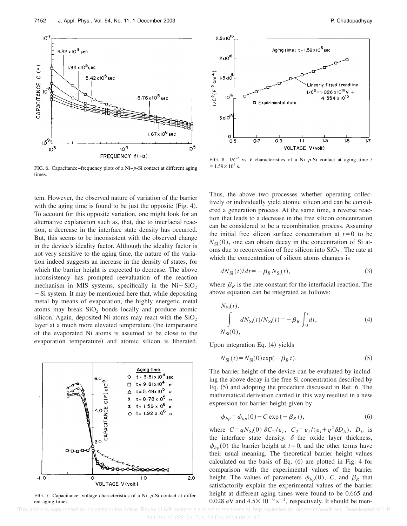ent aging times. [This article is copyrighted as indicated in the article. Reuse of AIP content is subject to the terms at: http://scitation.aip.org/termsconditions. Downloaded to ] IP 141.214.17.222 On: Tue, 23 Dec 2014 09:21:47

5.42 x 10<sup>5</sup> sec

 $8.76 \times 10^{5}$  sec

1.67 x 10<sup>6</sup> sec

10<sup>5</sup>

 $10^7$ 

CAPACITANCE C (F)

IÕ

 $10<sup>3</sup>$ 

 $3.32 \times 10^{4}$  sec

 $1.94 \times 10^5$ sec

FREQUENCY f(Hz) FIG. 6. Capacitance–frequency plots of a Ni–*p*-Si contact at different aging times

 $10<sup>4</sup>$ 

tem. However, the observed nature of variation of the barrier with the aging time is found to be just the opposite  $(Fig. 4)$ . To account for this opposite variation, one might look for an alternative explanation such as, that, due to interfacial reaction, a decrease in the interface state density has occurred. But, this seems to be inconsistent with the observed change in the device's ideality factor. Although the ideality factor is not very sensitive to the aging time, the nature of the variation indeed suggests an increase in the density of states, for which the barrier height is expected to decrease. The above inconsistency has prompted reevaluation of the reaction mechanism in MIS systems, specifically in the  $Ni-SiO<sub>2</sub>$  $-Si$  system. It may be mentioned here that, while depositing metal by means of evaporation, the highly energetic metal atoms may break  $SiO<sub>2</sub>$  bonds locally and produce atomic silicon. Again, deposited Ni atoms may react with the  $SiO<sub>2</sub>$ layer at a much more elevated temperature (the temperature of the evaporated Ni atoms is assumed to be close to the evaporation temperature) and atomic silicon is liberated.

Aging time  $t = 3.51 \times 10^4$ t = 9.81 x 10<sup>4</sup>  $\Box$ CAPACITANCE C(F) x10 t = 5.49x IO<sup>5</sup>  $= 8.78 \times 10^5$  $1.59 \times 10^{6}$ t= 1.92 x 10<sup>6</sup>  $0 - 0 - 0$  $\overline{2.0}$  $-1.0$  $\circ$  $1.C$ 

FIG. 7. Capacitance–voltage characteristics of a Ni–*p*-Si contact at differ-

VOLTAGE V (volt)



FIG. 8.  $1/C^2$  vs *V* characteristics of a Ni–*p*-Si contact at aging time *t*  $= 1.59 \times 10^6$  s.

Thus, the above two processes whether operating collectively or individually yield atomic silicon and can be considered a generation process. At the same time, a reverse reaction that leads to a decrease in the free silicon concentration can be considered to be a recombination process. Assuming the initial free silicon surface concentration at  $t=0$  to be  $N_{\rm Si}(0)$ , one can obtain decay in the concentration of Si atoms due to reconversion of free silicon into  $SiO<sub>2</sub>$ . The rate at which the concentration of silicon atoms changes is

$$
dN_{\rm Si}(t)/dt = -\beta_R N_{\rm Si}(t),\tag{3}
$$

where  $\beta_R$  is the rate constant for the interfacial reaction. The above equation can be integrated as follows:

$$
N_{\rm Si}(t).
$$
  
\n
$$
\int_{N_{\rm Si}(0)} dN_{\rm Si}(t)/N_{\rm Si}(t) = -\beta_R \int_0^t dt,
$$
\n(4)

Upon integration Eq.  $(4)$  yields

$$
N_{\rm Si}(t) = N_{\rm Si}(0) \exp(-\beta_R t). \tag{5}
$$

The barrier height of the device can be evaluated by including the above decay in the free Si concentration described by Eq.  $(5)$  and adopting the procedure discussed in Ref. 6. The mathematical derivation carried in this way resulted in a new expression for barrier height given by

$$
\phi_{bp} = \phi_{bp}(0) - C \exp(-\beta_R t),\tag{6}
$$

where  $C = qN_{Si}(0) \delta C_2/\varepsilon_i$ ,  $C_2 = \varepsilon_i/(\varepsilon_i + q^2 \delta D_{it})$ ,  $D_{it}$  is the interface state density,  $\delta$  the oxide layer thickness,  $\phi_{bp}(0)$  the barrier height at  $t=0$ , and the other terms have their usual meaning. The theoretical barrier height values calculated on the basis of Eq.  $(6)$  are plotted in Fig. 4 for comparison with the experimental values of the barrier height. The values of parameters  $\phi_{bp}(0)$ , *C*, and  $\beta_R$  that satisfactorily explain the experimental values of the barrier height at different aging times were found to be 0.665 and 0.028 eV and  $4.5 \times 10^{-6}$  s<sup>-1</sup>, respectively. It should be men-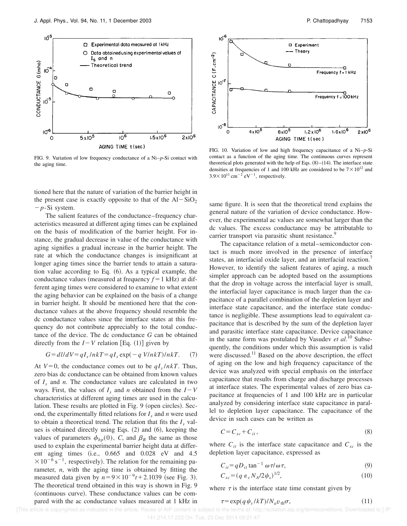

FIG. 9. Variation of low frequency conductance of a Ni–*p*-Si contact with the aging time.

tioned here that the nature of variation of the barrier height in the present case is exactly opposite to that of the  $Al-SiO<sub>2</sub>$ 2*p*-Si system.

The salient features of the conductance–frequency characteristics measured at different aging times can be explained on the basis of modification of the barrier height. For instance, the gradual decrease in value of the conductance with aging signifies a gradual increase in the barrier height. The rate at which the conductance changes is insignificant at longer aging times since the barrier tends to attain a saturation value according to Eq.  $(6)$ . As a typical example, the conductance values (measured at frequency  $f = 1$  kHz) at different aging times were considered to examine to what extent the aging behavior can be explained on the basis of a change in barrier height. It should be mentioned here that the conductance values at the above frequency should resemble the dc conductance values since the interface states at this frequency do not contribute appreciably to the total conductance of the device. The dc conductance *G* can be obtained directly from the  $I - V$  relation [Eq. (1)] given by

$$
G = dl/dV = qI_s/nkT = qI_s \exp(-q \text{V}/nkT)/nkT. \quad (7)
$$

At  $V=0$ , the conductance comes out to be  $qI_s/nkT$ . Thus, zero bias dc conductance can be obtained from known values of *I<sup>s</sup>* and *n*. The conductance values are calculated in two ways. First, the values of  $I_s$  and *n* obtained from the  $I-V$ characteristics at different aging times are used in the calculation. These results are plotted in Fig. 9 (open circles). Second, the experimentally fitted relations for  $I_s$  and  $n$  were used to obtain a theoretical trend. The relation that fits the  $I_s$  values is obtained directly using Eqs.  $(2)$  and  $(6)$ , keeping the values of parameters  $\phi_{bp}(0)$ , *C*, and  $\beta_R$  the same as those used to explain the experimental barrier height data at different aging times  $(i.e., 0.665 \text{ and } 0.028 \text{ eV} \text{ and } 4.5$  $\times 10^{-6}$  s<sup>-1</sup>, respectively). The relation for the remaining parameter, *n*, with the aging time is obtained by fitting the measured data given by  $n=9\times10^{-9}t+2.1039$  (see Fig. 3). The theoretical trend obtained in this way is shown in Fig. 9 (continuous curve). These conductance values can be compared with the ac conductance values measured at 1 kHz in



FIG. 10. Variation of low and high frequency capacitance of a Ni–*p*-Si contact as a function of the aging time. The continuous curves represent theoretical plots generated with the help of Eqs.  $(8)–(14)$ . The interface state densities at frequencies of 1 and 100 kHz are considered to be  $7 \times 10^{12}$  and  $3.9 \times 10^{11}$  cm<sup>-2</sup> eV<sup>-1</sup>, respectively.

same figure. It is seen that the theoretical trend explains the general nature of the variation of device conductance. However, the experimental ac values are somewhat larger than the dc values. The excess conductance may be attributable to carrier transport via parasitic shunt resistance.<sup>9</sup>

The capacitance relation of a metal–semiconductor contact is much more involved in the presence of interface states, an interfacial oxide layer, and an interfacial reaction.<sup>7</sup> However, to identify the salient features of aging, a much simpler approach can be adopted based on the assumptions that the drop in voltage across the interfacial layer is small, the interfacial layer capacitance is much larger than the capacitance of a parallel combination of the depletion layer and interface state capacitance, and the interface state conductance is negligible. These assumptions lead to equivalent capacitance that is described by the sum of the depletion layer and parasitic interface state capacitance. Device capacitance in the same form was postulated by Vasudev *et al*. <sup>10</sup> Subsequently, the conditions under which this assumption is valid were discussed.<sup>11</sup> Based on the above description, the effect of aging on the low and high frequency capacitance of the device was analyzed with special emphasis on the interface capacitance that results from charge and discharge processes at interface states. The experimental values of zero bias capacitance at frequencies of 1 and 100 kHz are in particular analyzed by considering interface state capacitance in parallel to depletion layer capacitance. The capacitance of the device in such cases can be written as

$$
C = C_{sc} + C_{it},\tag{8}
$$

where  $C_{it}$  is the interface state capacitance and  $C_{sc}$  is the depletion layer capacitance, expressed as

$$
C_{it} = qD_{it} \tan^{-1} \omega \tau / \omega \tau,
$$
\n(9)

$$
C_{sc} = (q \varepsilon_s N_A / 2\psi_s)^{1/2},\tag{10}
$$

where  $\tau$  is the interface state time constant given by

$$
\tau = \exp(q \psi_s / kT) / N_a v_{\rm th} \sigma,
$$
\n(11)

[This article is copyrighted as indicated in the article. Reuse of AIP content is subject to the terms at: http://scitation.aip.org/termsconditions. Downloaded to ] IP:

<sup>141.214.17.222</sup> On: Tue, 23 Dec 2014 09:21:47